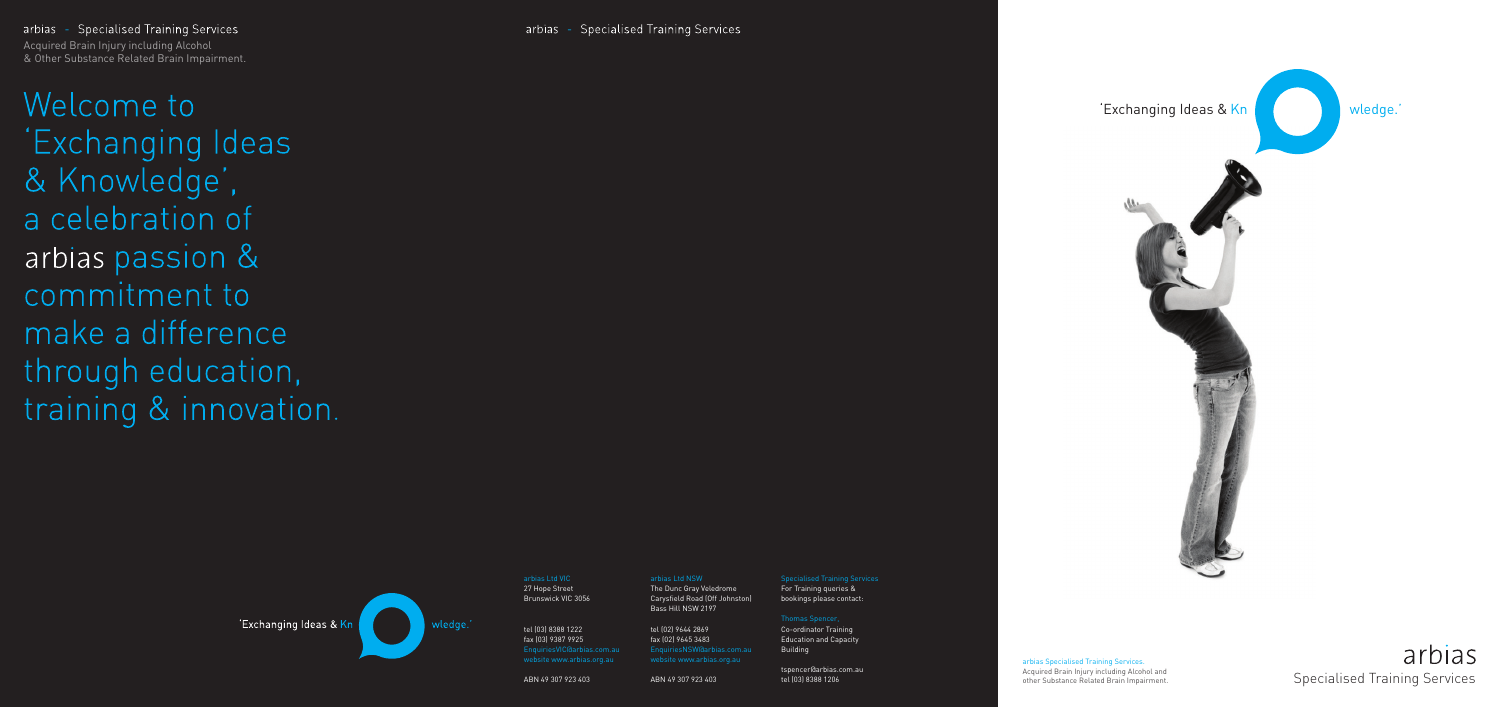# arbias Specialised Training Services



#### arbias Specialised Training Services. Acquired Brain Injury including Alcohol and other Substance Related Brain Impairment.

27 Hope Street Brunswick VIC 3056

tel (03) 8388 1222 fax (03) 9387 9925 EnquiriesVIC@arbias.com.au website www.arbias.org.au

ABN 49 307 923 403

Specialised Training Services For Training queries & bookings please contact:

arbias - Specialised Training Services and the control of the control of the control of the control of the con Acquired Brain Injury including Alcohol & Other Substance Related Brain Impairment.

Welcome to 'Exchanging Ideas & Knowledge', a celebration of arbias passion & commitment to make a difference through education, training & innovation.



Thomas Spencer,

Co-ordinator Training Education and Capacity Building

tspencer@arbias.com.au tel (03) 8388 1206

arbias Ltd NSW

The Dunc Gray Veledrome Carysfield Road (Off Johnston) Bass Hill NSW 2197

tel (02) 9644 2869 fax (02) 9645 3483 EnquiriesNSW@arbias.com.au website www.arbias.org.au

ABN 49 307 923 403